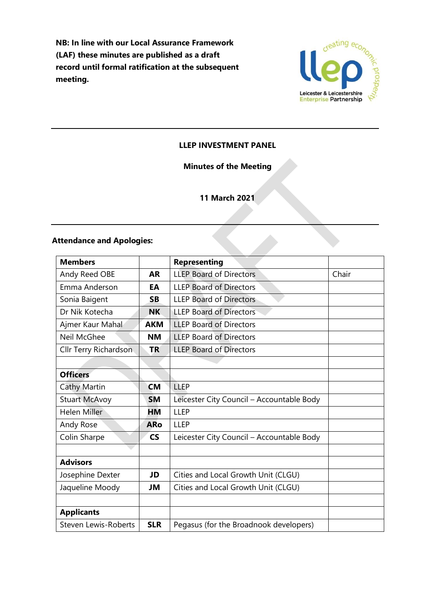**NB: In line with our Local Assurance Framework (LAF) these minutes are published as a draft record until formal ratification at the subsequent meeting.**



### **LLEP INVESTMENT PANEL**

### **Minutes of the Meeting**

# **11 March 2021**

### **Attendance and Apologies:**

| <b>Members</b>              |            | <b>Representing</b>                       |       |
|-----------------------------|------------|-------------------------------------------|-------|
| Andy Reed OBE               | <b>AR</b>  | <b>LLEP Board of Directors</b>            | Chair |
| Emma Anderson               | EA         | <b>LLEP Board of Directors</b>            |       |
| Sonia Baigent               | <b>SB</b>  | <b>LLEP Board of Directors</b>            |       |
| Dr Nik Kotecha              | NΚ         | <b>LLEP Board of Directors</b>            |       |
| Ajmer Kaur Mahal            | <b>AKM</b> | <b>LLEP Board of Directors</b>            |       |
| Neil McGhee                 | <b>NM</b>  | <b>LLEP Board of Directors</b>            |       |
| Cllr Terry Richardson       | <b>TR</b>  | <b>LLEP Board of Directors</b>            |       |
|                             |            |                                           |       |
| <b>Officers</b>             |            |                                           |       |
| <b>Cathy Martin</b>         | <b>CM</b>  | LLEP                                      |       |
| <b>Stuart McAvoy</b>        | <b>SM</b>  | Leicester City Council - Accountable Body |       |
| <b>Helen Miller</b>         | ΗМ         | LLEP                                      |       |
| Andy Rose                   | <b>ARo</b> | <b>LLEP</b>                               |       |
| Colin Sharpe                | <b>CS</b>  | Leicester City Council - Accountable Body |       |
|                             |            |                                           |       |
| <b>Advisors</b>             |            |                                           |       |
| Josephine Dexter            | JD         | Cities and Local Growth Unit (CLGU)       |       |
| Jaqueline Moody             | JM         | Cities and Local Growth Unit (CLGU)       |       |
|                             |            |                                           |       |
| <b>Applicants</b>           |            |                                           |       |
| <b>Steven Lewis-Roberts</b> | <b>SLR</b> | Pegasus (for the Broadnook developers)    |       |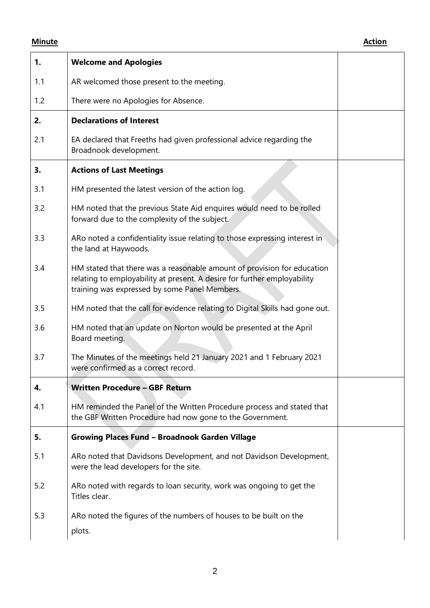| 1.  | <b>Welcome and Apologies</b>                                                                                                                                                                         |  |
|-----|------------------------------------------------------------------------------------------------------------------------------------------------------------------------------------------------------|--|
| 1.1 | AR welcomed those present to the meeting.                                                                                                                                                            |  |
| 1.2 | There were no Apologies for Absence.                                                                                                                                                                 |  |
| 2.  | <b>Declarations of Interest</b>                                                                                                                                                                      |  |
| 2.1 | EA declared that Freeths had given professional advice regarding the<br>Broadnook development.                                                                                                       |  |
| 3.  | <b>Actions of Last Meetings</b>                                                                                                                                                                      |  |
| 3.1 | HM presented the latest version of the action log.                                                                                                                                                   |  |
| 3.2 | HM noted that the previous State Aid enquires would need to be rolled<br>forward due to the complexity of the subject.                                                                               |  |
| 3.3 | ARo noted a confidentiality issue relating to those expressing interest in<br>the land at Haywoods.                                                                                                  |  |
| 3.4 | HM stated that there was a reasonable amount of provision for education<br>relating to employability at present. A desire for further employability<br>training was expressed by some Panel Members. |  |
| 3.5 | HM noted that the call for evidence relating to Digital Skills had gone out.                                                                                                                         |  |
| 3.6 | HM noted that an update on Norton would be presented at the April<br>Board meeting.                                                                                                                  |  |
| 3.7 | The Minutes of the meetings held 21 January 2021 and 1 February 2021<br>were confirmed as a correct record.                                                                                          |  |
| 4.  | <b>Written Procedure - GBF Return</b>                                                                                                                                                                |  |
| 4.1 | HM reminded the Panel of the Written Procedure process and stated that<br>the GBF Written Procedure had now gone to the Government.                                                                  |  |
| 5.  | <b>Growing Places Fund - Broadnook Garden Village</b>                                                                                                                                                |  |
| 5.1 | ARo noted that Davidsons Development, and not Davidson Development,<br>were the lead developers for the site.                                                                                        |  |
| 5.2 | ARo noted with regards to loan security, work was ongoing to get the<br>Titles clear.                                                                                                                |  |
| 5.3 | ARo noted the figures of the numbers of houses to be built on the<br>plots.                                                                                                                          |  |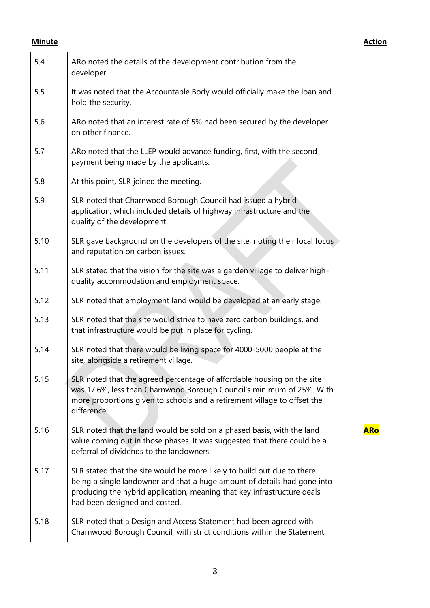**ARo**

| 5.4  | ARo noted the details of the development contribution from the<br>developer.                                                                                                                                                                                    |  |
|------|-----------------------------------------------------------------------------------------------------------------------------------------------------------------------------------------------------------------------------------------------------------------|--|
| 5.5  | It was noted that the Accountable Body would officially make the loan and<br>hold the security.                                                                                                                                                                 |  |
| 5.6  | ARo noted that an interest rate of 5% had been secured by the developer<br>on other finance.                                                                                                                                                                    |  |
| 5.7  | ARo noted that the LLEP would advance funding, first, with the second<br>payment being made by the applicants.                                                                                                                                                  |  |
| 5.8  | At this point, SLR joined the meeting.                                                                                                                                                                                                                          |  |
| 5.9  | SLR noted that Charnwood Borough Council had issued a hybrid<br>application, which included details of highway infrastructure and the<br>quality of the development.                                                                                            |  |
| 5.10 | SLR gave background on the developers of the site, noting their local focus<br>and reputation on carbon issues.                                                                                                                                                 |  |
| 5.11 | SLR stated that the vision for the site was a garden village to deliver high-<br>quality accommodation and employment space.                                                                                                                                    |  |
| 5.12 | SLR noted that employment land would be developed at an early stage.                                                                                                                                                                                            |  |
| 5.13 | SLR noted that the site would strive to have zero carbon buildings, and<br>that infrastructure would be put in place for cycling.                                                                                                                               |  |
| 5.14 | SLR noted that there would be living space for 4000-5000 people at the<br>site, alongside a retirement village.                                                                                                                                                 |  |
| 5.15 | SLR noted that the agreed percentage of affordable housing on the site<br>was 17.6%, less than Charnwood Borough Council's minimum of 25%. With<br>more proportions given to schools and a retirement village to offset the<br>difference.                      |  |
| 5.16 | SLR noted that the land would be sold on a phased basis, with the land<br>value coming out in those phases. It was suggested that there could be a<br>deferral of dividends to the landowners.                                                                  |  |
| 5.17 | SLR stated that the site would be more likely to build out due to there<br>being a single landowner and that a huge amount of details had gone into<br>producing the hybrid application, meaning that key infrastructure deals<br>had been designed and costed. |  |
| 5.18 | SLR noted that a Design and Access Statement had been agreed with<br>Charnwood Borough Council, with strict conditions within the Statement.                                                                                                                    |  |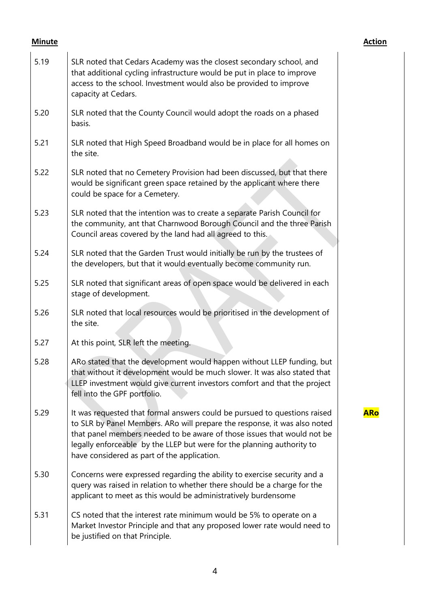**ARo**

| 5.19 | SLR noted that Cedars Academy was the closest secondary school, and<br>that additional cycling infrastructure would be put in place to improve<br>access to the school. Investment would also be provided to improve<br>capacity at Cedars.                                                                                                                |
|------|------------------------------------------------------------------------------------------------------------------------------------------------------------------------------------------------------------------------------------------------------------------------------------------------------------------------------------------------------------|
| 5.20 | SLR noted that the County Council would adopt the roads on a phased<br>basis.                                                                                                                                                                                                                                                                              |
| 5.21 | SLR noted that High Speed Broadband would be in place for all homes on<br>the site.                                                                                                                                                                                                                                                                        |
| 5.22 | SLR noted that no Cemetery Provision had been discussed, but that there<br>would be significant green space retained by the applicant where there<br>could be space for a Cemetery.                                                                                                                                                                        |
| 5.23 | SLR noted that the intention was to create a separate Parish Council for<br>the community, ant that Charnwood Borough Council and the three Parish<br>Council areas covered by the land had all agreed to this.                                                                                                                                            |
| 5.24 | SLR noted that the Garden Trust would initially be run by the trustees of<br>the developers, but that it would eventually become community run.                                                                                                                                                                                                            |
| 5.25 | SLR noted that significant areas of open space would be delivered in each<br>stage of development.                                                                                                                                                                                                                                                         |
| 5.26 | SLR noted that local resources would be prioritised in the development of<br>the site.                                                                                                                                                                                                                                                                     |
| 5.27 | At this point, SLR left the meeting.                                                                                                                                                                                                                                                                                                                       |
| 5.28 | ARo stated that the development would happen without LLEP funding, but<br>that without it development would be much slower. It was also stated that<br>LLEP investment would give current investors comfort and that the project<br>fell into the GPF portfolio.                                                                                           |
| 5.29 | It was requested that formal answers could be pursued to questions raised<br>to SLR by Panel Members. ARo will prepare the response, it was also noted<br>that panel members needed to be aware of those issues that would not be<br>legally enforceable by the LLEP but were for the planning authority to<br>have considered as part of the application. |
| 5.30 | Concerns were expressed regarding the ability to exercise security and a<br>query was raised in relation to whether there should be a charge for the<br>applicant to meet as this would be administratively burdensome                                                                                                                                     |
| 5.31 | CS noted that the interest rate minimum would be 5% to operate on a<br>Market Investor Principle and that any proposed lower rate would need to<br>be justified on that Principle.                                                                                                                                                                         |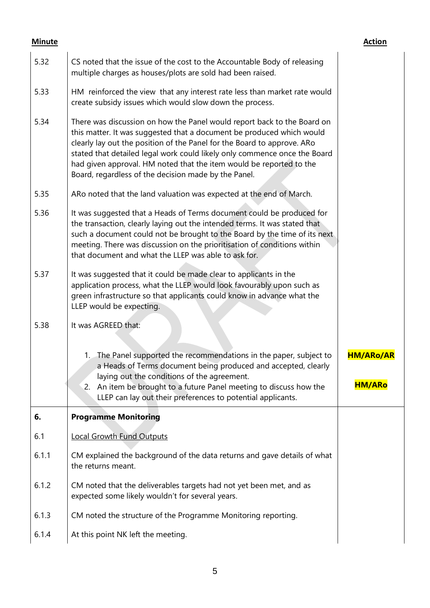| 5.32  | CS noted that the issue of the cost to the Accountable Body of releasing<br>multiple charges as houses/plots are sold had been raised.                                                                                                                                                                                                                                                                                                  |                  |
|-------|-----------------------------------------------------------------------------------------------------------------------------------------------------------------------------------------------------------------------------------------------------------------------------------------------------------------------------------------------------------------------------------------------------------------------------------------|------------------|
| 5.33  | HM reinforced the view that any interest rate less than market rate would<br>create subsidy issues which would slow down the process.                                                                                                                                                                                                                                                                                                   |                  |
| 5.34  | There was discussion on how the Panel would report back to the Board on<br>this matter. It was suggested that a document be produced which would<br>clearly lay out the position of the Panel for the Board to approve. ARo<br>stated that detailed legal work could likely only commence once the Board<br>had given approval. HM noted that the item would be reported to the<br>Board, regardless of the decision made by the Panel. |                  |
| 5.35  | ARo noted that the land valuation was expected at the end of March.                                                                                                                                                                                                                                                                                                                                                                     |                  |
| 5.36  | It was suggested that a Heads of Terms document could be produced for<br>the transaction, clearly laying out the intended terms. It was stated that<br>such a document could not be brought to the Board by the time of its next<br>meeting. There was discussion on the prioritisation of conditions within<br>that document and what the LLEP was able to ask for.                                                                    |                  |
| 5.37  | It was suggested that it could be made clear to applicants in the<br>application process, what the LLEP would look favourably upon such as<br>green infrastructure so that applicants could know in advance what the<br>LLEP would be expecting.                                                                                                                                                                                        |                  |
| 5.38  | It was AGREED that:                                                                                                                                                                                                                                                                                                                                                                                                                     |                  |
|       | 1. The Panel supported the recommendations in the paper, subject to<br>a Heads of Terms document being produced and accepted, clearly                                                                                                                                                                                                                                                                                                   | <b>HM/ARo/AR</b> |
|       | laying out the conditions of the agreement.<br>2. An item be brought to a future Panel meeting to discuss how the<br>LLEP can lay out their preferences to potential applicants.                                                                                                                                                                                                                                                        | <b>HM/ARo</b>    |
| 6.    | <b>Programme Monitoring</b>                                                                                                                                                                                                                                                                                                                                                                                                             |                  |
| 6.1   | <b>Local Growth Fund Outputs</b>                                                                                                                                                                                                                                                                                                                                                                                                        |                  |
| 6.1.1 | CM explained the background of the data returns and gave details of what<br>the returns meant.                                                                                                                                                                                                                                                                                                                                          |                  |
| 6.1.2 | CM noted that the deliverables targets had not yet been met, and as<br>expected some likely wouldn't for several years.                                                                                                                                                                                                                                                                                                                 |                  |
| 6.1.3 | CM noted the structure of the Programme Monitoring reporting.                                                                                                                                                                                                                                                                                                                                                                           |                  |
| 6.1.4 | At this point NK left the meeting.                                                                                                                                                                                                                                                                                                                                                                                                      |                  |